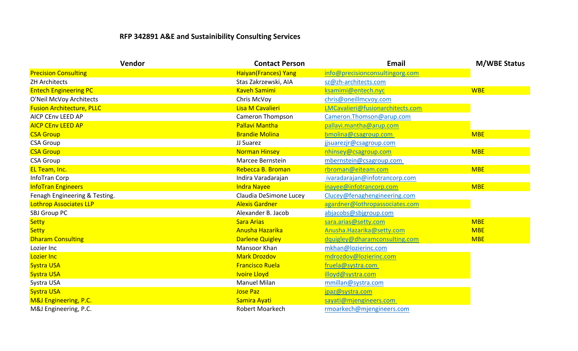## **RFP 342891 A&E and Sustainibility Consulting Services**

| Vendor                           | <b>Contact Person</b>        | <b>Email</b>                     | <b>M/WBE Status</b> |
|----------------------------------|------------------------------|----------------------------------|---------------------|
| <b>Precision Consulting</b>      | <b>Haiyan</b> (Frances) Yang | info@precisionconsultingorg.com  |                     |
| <b>ZH Architects</b>             | Stas Zakrzewski, AIA         | sz@zh-architects.com             |                     |
| <b>Entech Engineering PC</b>     | <b>Kaveh Samimi</b>          | ksamimi@entech.nyc               | <b>WBE</b>          |
| O'Neil McVoy Architects          | Chris McVoy                  | chris@oneillmcvoy.com            |                     |
| <b>Fusion Architecture, PLLC</b> | Lisa M Cavalieri             | LMCavalieri@fusionarchitects.com |                     |
| <b>AICP CENV LEED AP</b>         | <b>Cameron Thompson</b>      | Cameron.Thomson@arup.com         |                     |
| <b>AICP CENV LEED AP</b>         | <b>Pallavi Mantha</b>        | pallavi.mantha@arup.com          |                     |
| <b>CSA Group</b>                 | <b>Brandie Molina</b>        | bmolina@csagroup.com             | <b>MBE</b>          |
| <b>CSA Group</b>                 | JJ Suarez                    | jjsuarezjr@csagroup.com          |                     |
| <b>CSA Group</b>                 | <b>Norman Hinsey</b>         | nhinsey@csagroup.com             | <b>MBE</b>          |
| <b>CSA Group</b>                 | Marcee Bernstein             | mbernstein@csagroup.com          |                     |
| EL Team, Inc.                    | Rebecca B. Broman            | rbroman@eiteam.com               | <b>MBE</b>          |
| InfoTran Corp                    | Indira Varadarajan           | ivaradarajan@infotrancorp.com    |                     |
| <b>InfoTran Engineers</b>        | <b>Indra Nayee</b>           | inayee@infotrancorp.com          | <b>MBE</b>          |
| Fenagh Engineering & Testing.    | Claudia DeSimone Lucey       | Clucey@fenaghengineering.com     |                     |
| Lothrop Associates LLP           | <b>Alexis Gardner</b>        | agardner@lothropassociates.com   |                     |
| SBJ Group PC                     | Alexander B. Jacob           | abjacobs@sbjgroup.com            |                     |
| <b>Setty</b>                     | <b>Sara Arias</b>            | sara.arias@setty.com             | <b>MBE</b>          |
| <b>Setty</b>                     | Anusha Hazarika              | Anusha.Hazarika@setty.com        | <b>MBE</b>          |
| <b>Dharam Consulting</b>         | <b>Darlene Quigley</b>       | dquigley@dharamconsulting.com    | <b>MBE</b>          |
| Lozier Inc                       | Mansoor Khan                 | mkhan@lozierinc.com              |                     |
| Lozier Inc                       | <b>Mark Drozdov</b>          | mdrozdov@lozierinc.com           |                     |
| <b>Systra USA</b>                | <b>Francisco Ruela</b>       | fruela@systra.com                |                     |
| <b>Systra USA</b>                | <b>Ivoire Lloyd</b>          | illoyd@systra.com                |                     |
| Systra USA                       | <b>Manuel Milan</b>          | mmillan@systra.com               |                     |
| <b>Systra USA</b>                | <b>Jose Paz</b>              | jpaz@systra.com                  |                     |
| M&J Engineering, P.C.            | Samira Ayati                 | sayati@mjengineers.com           |                     |
| M&J Engineering, P.C.            | <b>Robert Moarkech</b>       | rmoarkech@mjengineers.com        |                     |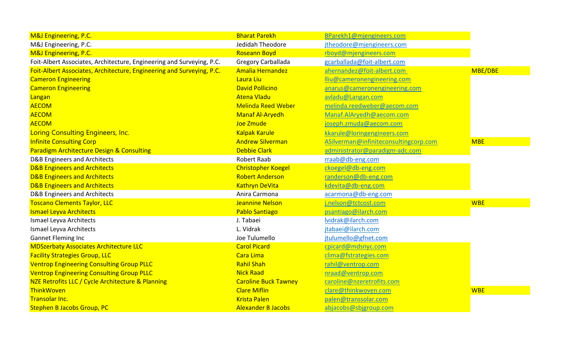| M&J Engineering, P.C.                                                 | <b>Bharat Parekh</b>        | BParekh1@mjengineers.com              |            |
|-----------------------------------------------------------------------|-----------------------------|---------------------------------------|------------|
| M&J Engineering, P.C.                                                 | Jedidah Theodore            | jtheodore@mjengineers.com             |            |
| M&J Engineering, P.C.                                                 | <b>Roseann Boyd</b>         | rboyd@mjengineers.com                 |            |
| Foit-Albert Associates, Architecture, Engineering and Surveying, P.C. | Gregory Carballada          | gcarballada@foit-albert.com           |            |
| Foit-Albert Associates, Architecture, Engineering and Surveying, P.C. | <b>Amalia Hernandez</b>     | ahernandez@foit-albert.com            | MBE/DBE    |
| <b>Cameron Engineering</b>                                            | Laura Liu                   | lliu@cameronengineering.com           |            |
| <b>Cameron Engineering</b>                                            | <b>David Pollicino</b>      | anarus@cameronengineering.com         |            |
| Langan                                                                | <b>Atena Vladu</b>          | avladu@Langan.com                     |            |
| <b>AECOM</b>                                                          | <b>Melinda Reed Weber</b>   | melinda.reedweber@aecom.com           |            |
| <b>AECOM</b>                                                          | <b>Manaf Al-Aryedh</b>      | Manaf.AlAryedh@aecom.com              |            |
| <b>AECOM</b>                                                          | Joe Zmude                   | joseph.zmuda@aecom.com                |            |
| Loring Consulting Engineers, Inc.                                     | <b>Kalpak Karule</b>        | kkarule@loringengineers.com           |            |
| <b>Infinite Consulting Corp</b>                                       | <b>Andrew Silverman</b>     | ASilverman@infiniteconsultingcorp.com | <b>MBE</b> |
| <b>Paradigm Architecture Design &amp; Consulting</b>                  | <b>Debbie Clark</b>         | administrator@paradigm-adc.com        |            |
| D&B Engineers and Architects                                          | Robert Raab                 | rraab@db-eng.com                      |            |
| <b>D&amp;B Engineers and Architects</b>                               | <b>Christopher Koegel</b>   | ckoegel@db-eng.com                    |            |
| <b>D&amp;B Engineers and Architects</b>                               | <b>Robert Anderson</b>      | randerson@db-eng.com                  |            |
| <b>D&amp;B Engineers and Architects</b>                               | <b>Kathryn DeVita</b>       | kdevita@db-eng.com                    |            |
| <b>D&amp;B Engineers and Architects</b>                               | Anira Carmona               | acarmona@db-eng.com                   |            |
| <b>Toscano Clements Taylor, LLC</b>                                   | <b>Jeannine Nelson</b>      | j.nelson@tctcost.com                  | <b>WBE</b> |
| <b>Ismael Leyva Architects</b>                                        | <b>Pablo Santiago</b>       | psantiago@ilarch.com                  |            |
| Ismael Leyva Architects                                               | J. Tabaei                   | lvidrak@ilarch.com                    |            |
| Ismael Leyva Architects                                               | L. Vidrak                   | jtabaei@ilarch.com                    |            |
| <b>Gannet Fleming Inc</b>                                             | Joe Tulumello               | jtulumello@gfnet.com                  |            |
| <b>MDSzerbaty Associates Architecture LLC</b>                         | <b>Carol Picard</b>         | cpicard@mdsnyc.com                    |            |
| <b>Facility Strategies Group, LLC</b>                                 | Cara Lima                   | clima@fstrategies.com                 |            |
| <b>Ventrop Engineering Consulting Group PLLC</b>                      | <b>Rahil Shah</b>           | rahil@ventrop.com                     |            |
| <b>Ventrop Engineering Consulting Group PLLC</b>                      | <b>Nick Raad</b>            | nraad@ventrop.com                     |            |
| NZE Retrofits LLC / Cycle Architecture & Planning                     | <b>Caroline Buck Tawney</b> | caroline@nzeretrofits.com             |            |
| ThinkWoven                                                            | <b>Clare Miflin</b>         | clare@thinkwoven.com                  | <b>WBE</b> |
| <b>Transolar Inc.</b>                                                 | <b>Krista Palen</b>         | palen@transsolar.com                  |            |
| <b>Stephen B Jacobs Group, PC</b>                                     | <b>Alexander B Jacobs</b>   | abjacobs@sbjgroup.com                 |            |